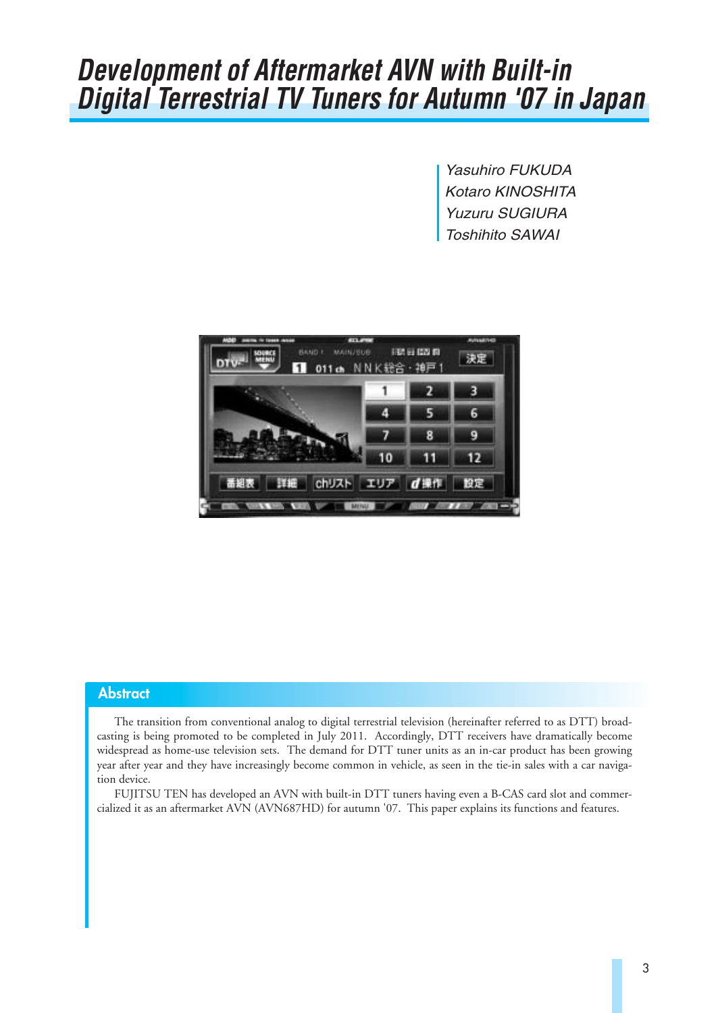# *Development of Aftermarket AVN with Built-in Digital Terrestrial TV Tuners for Autumn '07 in Japan*

Yasuhiro FUKUDA Kotaro KINOSHITA Yuzuru SUGIURA Toshihito SAWAI



#### **Abstract**

The transition from conventional analog to digital terrestrial television (hereinafter referred to as DTT) broadcasting is being promoted to be completed in July 2011. Accordingly, DTT receivers have dramatically become widespread as home-use television sets. The demand for DTT tuner units as an in-car product has been growing year after year and they have increasingly become common in vehicle, as seen in the tie-in sales with a car navigation device.

FUJITSU TEN has developed an AVN with built-in DTT tuners having even a B-CAS card slot and commercialized it as an aftermarket AVN (AVN687HD) for autumn '07. This paper explains its functions and features.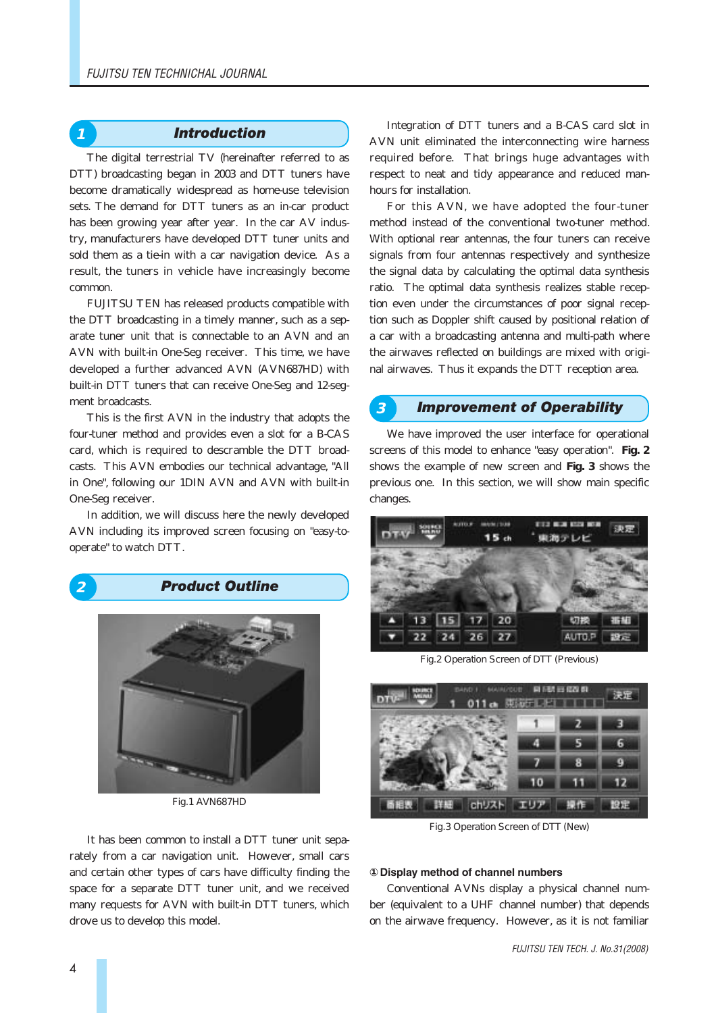### 1. Introduction **1** *Introduction*

The digital terrestrial TV (hereinafter referred to as DTT) broadcasting began in 2003 and DTT tuners have become dramatically widespread as home-use television sets. The demand for DTT tuners as an in-car product has been growing year after year. In the car AV industry, manufacturers have developed DTT tuner units and sold them as a tie-in with a car navigation device. As a result, the tuners in vehicle have increasingly become common.

FUJITSU TEN has released products compatible with the DTT broadcasting in a timely manner, such as a separate tuner unit that is connectable to an AVN and an AVN with built-in One-Seg receiver. This time, we have developed a further advanced AVN (AVN687HD) with built-in DTT tuners that can receive One-Seg and 12-segment broadcasts.

This is the first AVN in the industry that adopts the four-tuner method and provides even a slot for a B-CAS card, which is required to descramble the DTT broadcasts. This AVN embodies our technical advantage, "All in One", following our 1DIN AVN and AVN with built-in One-Seg receiver.

In addition, we will discuss here the newly developed AVN including its improved screen focusing on "easy-tooperate" to watch DTT.

2. Product Outline **2** *Product Outline*

Fig.1 AVN687HD

It has been common to install a DTT tuner unit separately from a car navigation unit. However, small cars and certain other types of cars have difficulty finding the space for a separate DTT tuner unit, and we received many requests for AVN with built-in DTT tuners, which drove us to develop this model.

Integration of DTT tuners and a B-CAS card slot in AVN unit eliminated the interconnecting wire harness required before. That brings huge advantages with respect to neat and tidy appearance and reduced manhours for installation.

For this AVN, we have adopted the four-tuner method instead of the conventional two-tuner method. With optional rear antennas, the four tuners can receive signals from four antennas respectively and synthesize the signal data by calculating the optimal data synthesis ratio. The optimal data synthesis realizes stable reception even under the circumstances of poor signal reception such as Doppler shift caused by positional relation of a car with a broadcasting antenna and multi-path where the airwaves reflected on buildings are mixed with original airwaves. Thus it expands the DTT reception area.

### 3. Improvement of Operability **3** *Improvement of Operability*

We have improved the user interface for operational screens of this model to enhance "easy operation". **Fig. 2** shows the example of new screen and **Fig. 3** shows the previous one. In this section, we will show main specific changes.



Fig.2 Operation Screen of DTT (Previous)



Fig.3 Operation Screen of DTT (New)

#### **Display method of channel numbers**

Conventional AVNs display a physical channel number (equivalent to a UHF channel number) that depends on the airwave frequency. However, as it is not familiar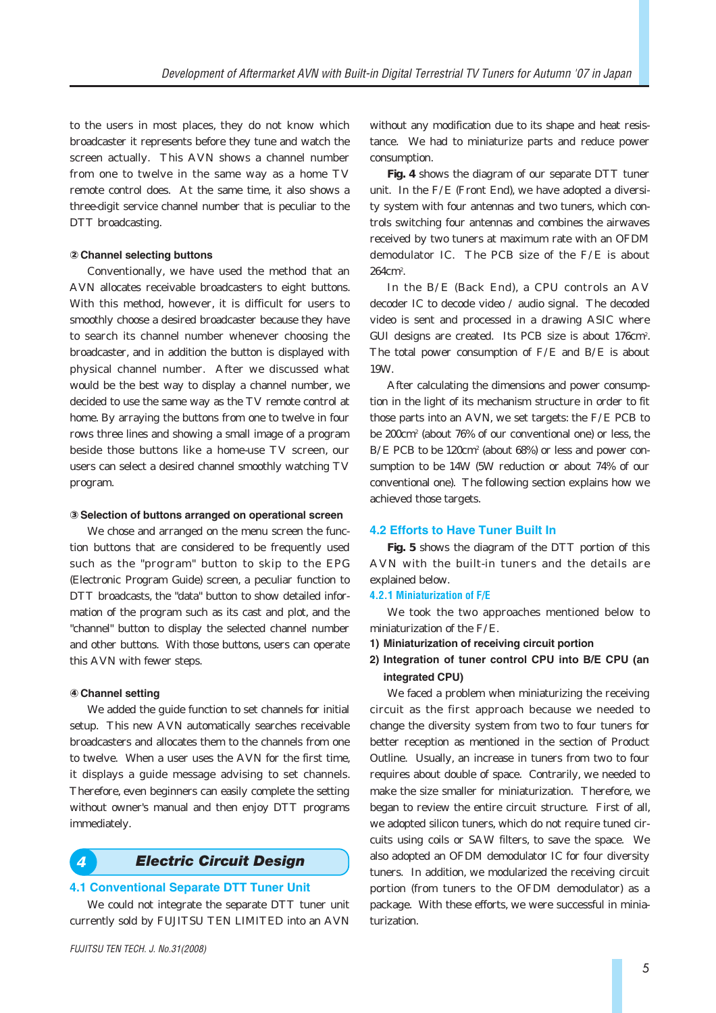to the users in most places, they do not know which broadcaster it represents before they tune and watch the screen actually. This AVN shows a channel number from one to twelve in the same way as a home TV remote control does. At the same time, it also shows a three-digit service channel number that is peculiar to the DTT broadcasting.

#### **Channel selecting buttons**

Conventionally, we have used the method that an AVN allocates receivable broadcasters to eight buttons. With this method, however, it is difficult for users to smoothly choose a desired broadcaster because they have to search its channel number whenever choosing the broadcaster, and in addition the button is displayed with physical channel number. After we discussed what would be the best way to display a channel number, we decided to use the same way as the TV remote control at home. By arraying the buttons from one to twelve in four rows three lines and showing a small image of a program beside those buttons like a home-use TV screen, our users can select a desired channel smoothly watching TV program.

#### **Selection of buttons arranged on operational screen**

We chose and arranged on the menu screen the function buttons that are considered to be frequently used such as the "program" button to skip to the EPG (Electronic Program Guide) screen, a peculiar function to DTT broadcasts, the "data" button to show detailed information of the program such as its cast and plot, and the "channel" button to display the selected channel number and other buttons. With those buttons, users can operate this AVN with fewer steps.

#### **Channel setting**

We added the guide function to set channels for initial setup. This new AVN automatically searches receivable broadcasters and allocates them to the channels from one to twelve. When a user uses the AVN for the first time, it displays a guide message advising to set channels. Therefore, even beginners can easily complete the setting without owner's manual and then enjoy DTT programs immediately.

### 4. Electric Circuit Design **4** *Electric Circuit Design*

#### **4.1 Conventional Separate DTT Tuner Unit**

We could not integrate the separate DTT tuner unit currently sold by FUJITSU TEN LIMITED into an AVN without any modification due to its shape and heat resistance. We had to miniaturize parts and reduce power consumption.

**Fig. 4** shows the diagram of our separate DTT tuner unit. In the F/E (Front End), we have adopted a diversity system with four antennas and two tuners, which controls switching four antennas and combines the airwaves received by two tuners at maximum rate with an OFDM demodulator IC. The PCB size of the F/E is about 264cm2 .

In the B/E (Back End), a CPU controls an AV decoder IC to decode video / audio signal. The decoded video is sent and processed in a drawing ASIC where GUI designs are created. Its PCB size is about 176cm<sup>2</sup>. .<br>. The total power consumption of F/E and B/E is about 19W.

After calculating the dimensions and power consumption in the light of its mechanism structure in order to fit those parts into an AVN, we set targets: the F/E PCB to be 200cm2 (about 76% of our conventional one) or less, the B/E PCB to be 120cm<sup>2</sup> (about 68%) or less and power consumption to be 14W (5W reduction or about 74% of our conventional one). The following section explains how we achieved those targets.

#### **4.2 Efforts to Have Tuner Built In**

**Fig. 5** shows the diagram of the DTT portion of this AVN with the built-in tuners and the details are explained below.

#### **4.2.1 Miniaturization of F/E**

We took the two approaches mentioned below to miniaturization of the F/E.

- **1) Miniaturization of receiving circuit portion**
- **2) Integration of tuner control CPU into B/E CPU (an integrated CPU)**

We faced a problem when miniaturizing the receiving circuit as the first approach because we needed to change the diversity system from two to four tuners for better reception as mentioned in the section of Product Outline. Usually, an increase in tuners from two to four requires about double of space. Contrarily, we needed to make the size smaller for miniaturization. Therefore, we began to review the entire circuit structure. First of all, we adopted silicon tuners, which do not require tuned circuits using coils or SAW filters, to save the space. We also adopted an OFDM demodulator IC for four diversity tuners. In addition, we modularized the receiving circuit portion (from tuners to the OFDM demodulator) as a package. With these efforts, we were successful in miniaturization.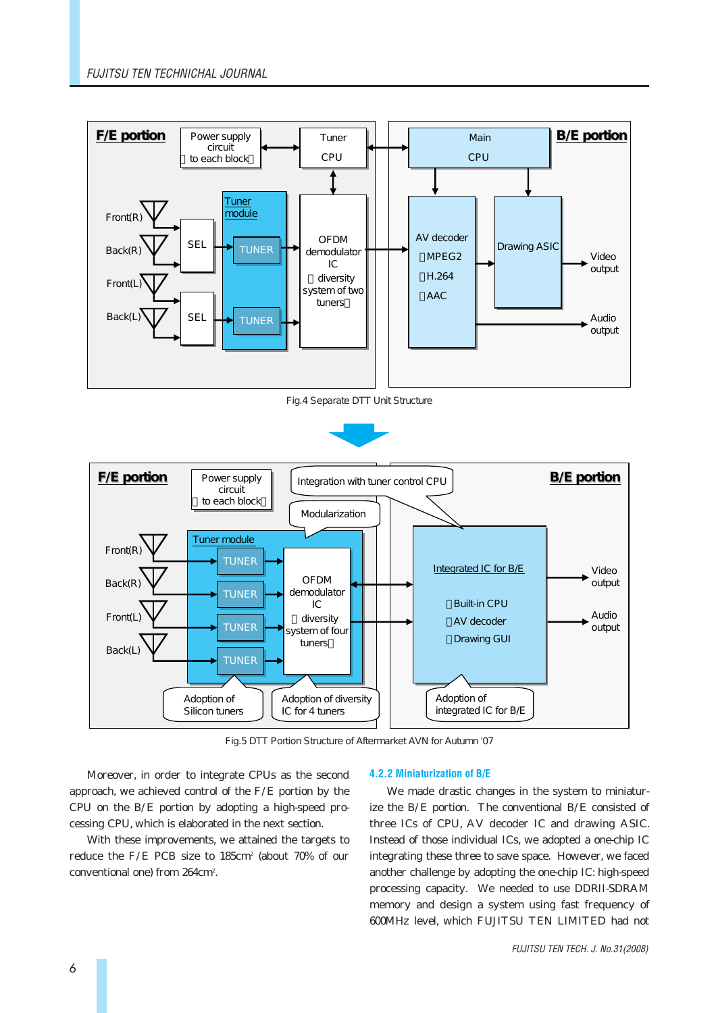

Fig.4 Separate DTT Unit Structure





Fig.5 DTT Portion Structure of Aftermarket AVN for Autumn '07

Moreover, in order to integrate CPUs as the second approach, we achieved control of the F/E portion by the CPU on the B/E portion by adopting a high-speed processing CPU, which is elaborated in the next section.

With these improvements, we attained the targets to reduce the F/E PCB size to 185cm2 (about 70% of our conventional one) from 264cm2 .

#### **4.2.2 Miniaturization of B/E**

We made drastic changes in the system to miniaturize the B/E portion. The conventional B/E consisted of three ICs of CPU, AV decoder IC and drawing ASIC. Instead of those individual ICs, we adopted a one-chip IC integrating these three to save space. However, we faced another challenge by adopting the one-chip IC: high-speed processing capacity. We needed to use DDRII-SDRAM memory and design a system using fast frequency of 600MHz level, which FUJITSU TEN LIMITED had not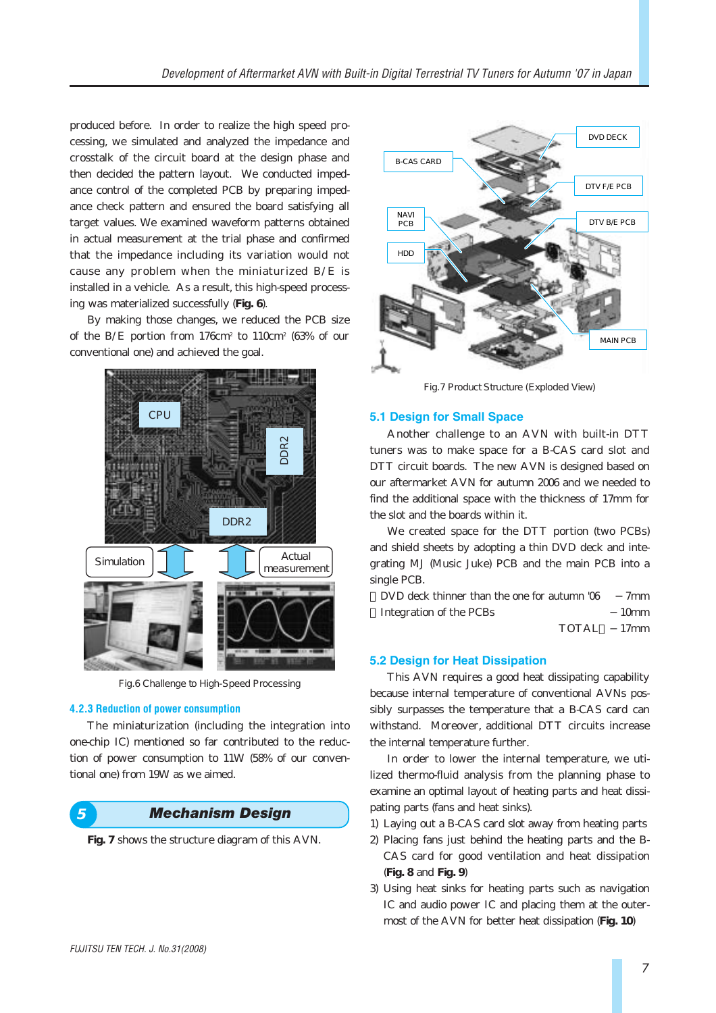produced before. In order to realize the high speed processing, we simulated and analyzed the impedance and crosstalk of the circuit board at the design phase and then decided the pattern layout. We conducted impedance control of the completed PCB by preparing impedance check pattern and ensured the board satisfying all target values. We examined waveform patterns obtained in actual measurement at the trial phase and confirmed that the impedance including its variation would not cause any problem when the miniaturized B/E is installed in a vehicle. As a result, this high-speed processing was materialized successfully (**Fig. 6**).

By making those changes, we reduced the PCB size of the B/E portion from 176cm2 to 110cm2 (63% of our conventional one) and achieved the goal.



Fig.6 Challenge to High-Speed Processing

#### **4.2.3 Reduction of power consumption**

The miniaturization (including the integration into one-chip IC) mentioned so far contributed to the reduction of power consumption to 11W (58% of our conventional one) from 19W as we aimed.

### 5. Mechanism Design **5** *Mechanism Design*

**Fig. 7** shows the structure diagram of this AVN.



Fig.7 Product Structure (Exploded View)

#### **5.1 Design for Small Space**

Another challenge to an AVN with built-in DTT tuners was to make space for a B-CAS card slot and DTT circuit boards. The new AVN is designed based on our aftermarket AVN for autumn 2006 and we needed to find the additional space with the thickness of 17mm for the slot and the boards within it.

We created space for the DTT portion (two PCBs) and shield sheets by adopting a thin DVD deck and integrating MJ (Music Juke) PCB and the main PCB into a single PCB.

| DVD deck thinner than the one for autumn '06 |        | 7 <sub>mm</sub>  |
|----------------------------------------------|--------|------------------|
| Integration of the PCBs                      |        | 10 <sub>mm</sub> |
|                                              | TOTAL. | 17mm             |

#### **5.2 Design for Heat Dissipation**

This AVN requires a good heat dissipating capability because internal temperature of conventional AVNs possibly surpasses the temperature that a B-CAS card can withstand. Moreover, additional DTT circuits increase the internal temperature further.

In order to lower the internal temperature, we utilized thermo-fluid analysis from the planning phase to examine an optimal layout of heating parts and heat dissipating parts (fans and heat sinks).

- 1) Laying out a B-CAS card slot away from heating parts
- 2) Placing fans just behind the heating parts and the B-CAS card for good ventilation and heat dissipation (**Fig. 8** and **Fig. 9**)
- 3) Using heat sinks for heating parts such as navigation IC and audio power IC and placing them at the outermost of the AVN for better heat dissipation (**Fig. 10**)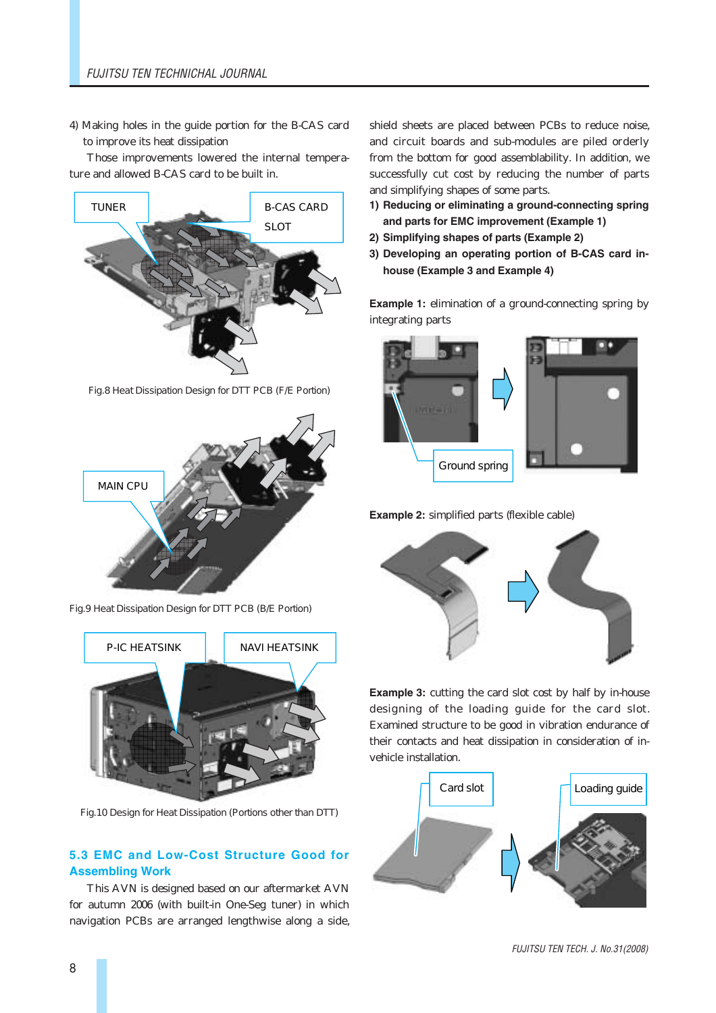4) Making holes in the guide portion for the B-CAS card to improve its heat dissipation

Those improvements lowered the internal temperature and allowed B-CAS card to be built in.



Fig.8 Heat Dissipation Design for DTT PCB (F/E Portion)



Fig.9 Heat Dissipation Design for DTT PCB (B/E Portion)



Fig.10 Design for Heat Dissipation (Portions other than DTT)

### **5.3 EMC and Low-Cost Structure Good for Assembling Work**

This AVN is designed based on our aftermarket AVN for autumn 2006 (with built-in One-Seg tuner) in which navigation PCBs are arranged lengthwise along a side,

shield sheets are placed between PCBs to reduce noise, and circuit boards and sub-modules are piled orderly from the bottom for good assemblability. In addition, we successfully cut cost by reducing the number of parts and simplifying shapes of some parts.

- **1) Reducing or eliminating a ground-connecting spring and parts for EMC improvement (Example 1)**
- **2) Simplifying shapes of parts (Example 2)**
- **3) Developing an operating portion of B-CAS card inhouse (Example 3 and Example 4)**

**Example 1:** elimination of a ground-connecting spring by integrating parts







**Example 3:** cutting the card slot cost by half by in-house designing of the loading guide for the card slot. Examined structure to be good in vibration endurance of their contacts and heat dissipation in consideration of invehicle installation.



FUJITSU TEN TECH. J. No.31(2008)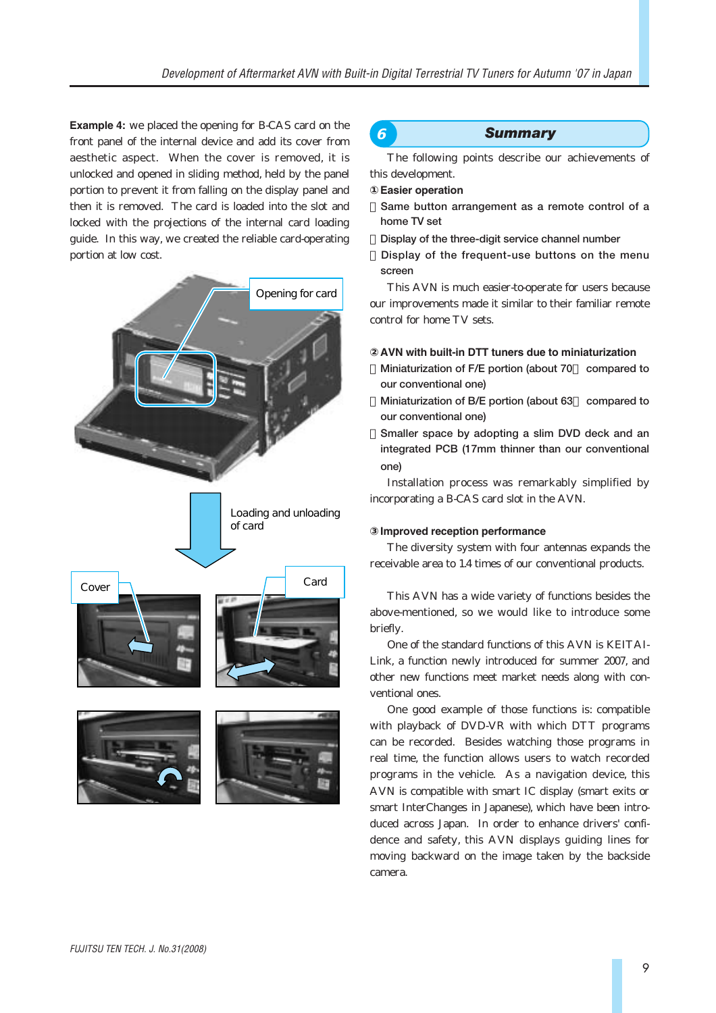**Example 4:** we placed the opening for B-CAS card on the front panel of the internal device and add its cover from aesthetic aspect. When the cover is removed, it is unlocked and opened in sliding method, held by the panel portion to prevent it from falling on the display panel and then it is removed. The card is loaded into the slot and locked with the projections of the internal card loading guide. In this way, we created the reliable card-operating portion at low cost.



## 6. Summary **6** *Summary*

The following points describe our achievements of this development.

#### **Easier operation**

#### **Same button arrangement as a remote control of a home TV set**

#### **Display of the three-digit service channel number**

**Display of the frequent-use buttons on the menu screen**

This AVN is much easier-to-operate for users because our improvements made it similar to their familiar remote control for home TV sets.

#### **AVN with built-in DTT tuners due to miniaturization**

**Miniaturization of F/E portion (about 70 compared to our conventional one)**

**Miniaturization of B/E portion (about 63 compared to our conventional one)**

**Smaller space by adopting a slim DVD deck and an integrated PCB (17mm thinner than our conventional one)**

Installation process was remarkably simplified by incorporating a B-CAS card slot in the AVN.

#### **Improved reception performance**

The diversity system with four antennas expands the receivable area to 1.4 times of our conventional products.

This AVN has a wide variety of functions besides the above-mentioned, so we would like to introduce some briefly.

One of the standard functions of this AVN is KEITAI-Link, a function newly introduced for summer 2007, and other new functions meet market needs along with conventional ones.

One good example of those functions is: compatible with playback of DVD-VR with which DTT programs can be recorded. Besides watching those programs in real time, the function allows users to watch recorded programs in the vehicle. As a navigation device, this AVN is compatible with smart IC display (smart exits or smart InterChanges in Japanese), which have been introduced across Japan. In order to enhance drivers' confidence and safety, this AVN displays guiding lines for moving backward on the image taken by the backside camera.